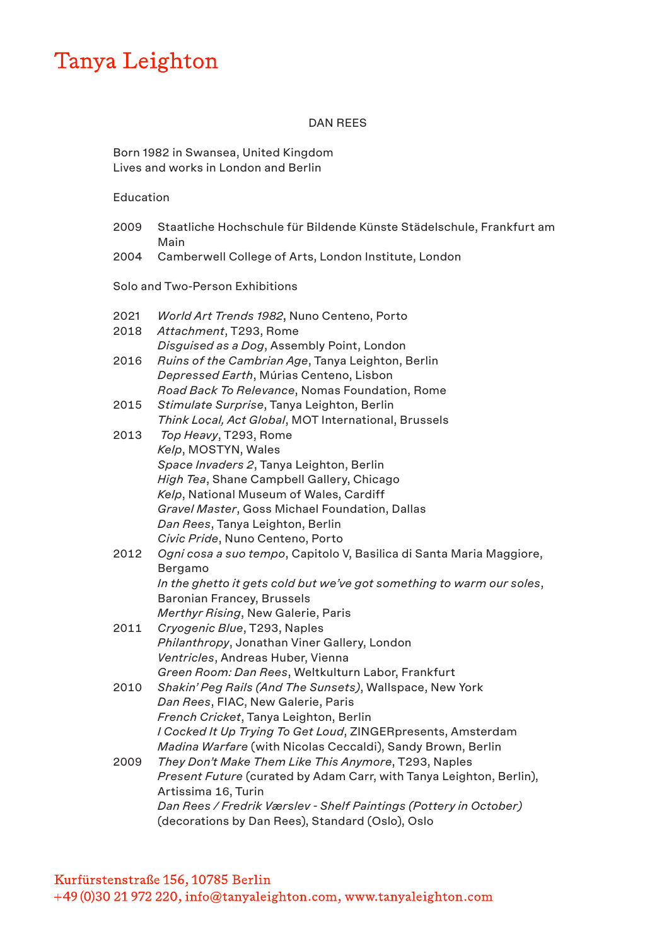## Tanya Leighton

## DAN REES

Born 1982 in Swansea, United Kingdom Lives and works in London and Berlin

Education

- 2009 Staatliche Hochschule für Bildende Künste Städelschule, Frankfurt am Main
- 2004 Camberwell College of Arts, London Institute, London

Solo and Two-Person Exhibitions

| 2021 | World Art Trends 1982, Nuno Centeno, Porto                            |
|------|-----------------------------------------------------------------------|
| 2018 | Attachment, T293, Rome<br>Disguised as a Dog, Assembly Point, London  |
| 2016 | Ruins of the Cambrian Age, Tanya Leighton, Berlin                     |
|      | Depressed Earth, Múrias Centeno, Lisbon                               |
|      | Road Back To Relevance, Nomas Foundation, Rome                        |
| 2015 | Stimulate Surprise, Tanya Leighton, Berlin                            |
|      | Think Local, Act Global, MOT International, Brussels                  |
| 2013 | Top Heavy, T293, Rome                                                 |
|      | Kelp, MOSTYN, Wales                                                   |
|      | Space Invaders 2, Tanya Leighton, Berlin                              |
|      | High Tea, Shane Campbell Gallery, Chicago                             |
|      | Kelp, National Museum of Wales, Cardiff                               |
|      | Gravel Master, Goss Michael Foundation, Dallas                        |
|      | Dan Rees, Tanya Leighton, Berlin                                      |
|      | Civic Pride, Nuno Centeno, Porto                                      |
| 2012 | Ogni cosa a suo tempo, Capitolo V, Basilica di Santa Maria Maggiore,  |
|      | Bergamo                                                               |
|      | In the ghetto it gets cold but we've got something to warm our soles, |
|      | <b>Baronian Francey, Brussels</b>                                     |
|      | Merthyr Rising, New Galerie, Paris                                    |
| 2011 | Cryogenic Blue, T293, Naples                                          |
|      | Philanthropy, Jonathan Viner Gallery, London                          |
|      | Ventricles, Andreas Huber, Vienna                                     |
|      | Green Room: Dan Rees, Weltkulturn Labor, Frankfurt                    |
| 2010 | Shakin' Peg Rails (And The Sunsets), Wallspace, New York              |
|      | Dan Rees, FIAC, New Galerie, Paris                                    |
|      | French Cricket, Tanya Leighton, Berlin                                |
|      | I Cocked It Up Trying To Get Loud, ZINGERpresents, Amsterdam          |
|      | Madina Warfare (with Nicolas Ceccaldi), Sandy Brown, Berlin           |
| 2009 | They Don't Make Them Like This Anymore, T293, Naples                  |
|      | Present Future (curated by Adam Carr, with Tanya Leighton, Berlin),   |
|      | Artissima 16, Turin                                                   |
|      | Dan Rees / Fredrik Værslev - Shelf Paintings (Pottery in October)     |
|      | (decorations by Dan Rees), Standard (Oslo), Oslo                      |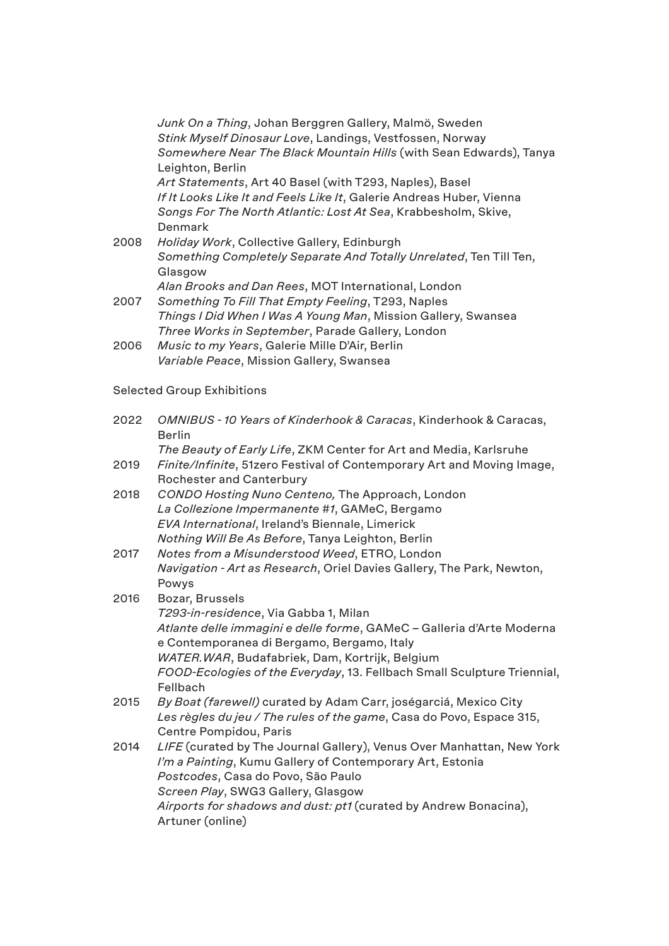| Junk On a Thing, Johan Berggren Gallery, Malmö, Sweden               |
|----------------------------------------------------------------------|
| Stink Myself Dinosaur Love, Landings, Vestfossen, Norway             |
| Somewhere Near The Black Mountain Hills (with Sean Edwards), Tanya   |
| Leighton, Berlin                                                     |
| Art Statements, Art 40 Basel (with T293, Naples), Basel              |
| If It Looks Like It and Feels Like It, Galerie Andreas Huber, Vienna |
| Songs For The North Atlantic: Lost At Sea, Krabbesholm, Skive,       |
| Denmark                                                              |
|                                                                      |

- 2008 *Holiday Work*, Collective Gallery, Edinburgh *Something Completely Separate And Totally Unrelated*, Ten Till Ten, Glasgow
	- *Alan Brooks and Dan Rees*, MOT International, London
- 2007 *Something To Fill That Empty Feeling*, T293, Naples *Things I Did When I Was A Young Man*, Mission Gallery, Swansea *Three Works in September*, Parade Gallery, London
- 2006 *Music to my Years*, Galerie Mille D'Air, Berlin *Variable Peace*, Mission Gallery, Swansea

## Selected Group Exhibitions

| 2022 | OMNIBUS - 10 Years of Kinderhook & Caracas, Kinderhook & Caracas,<br><b>Berlin</b>                                  |
|------|---------------------------------------------------------------------------------------------------------------------|
|      | The Beauty of Early Life, ZKM Center for Art and Media, Karlsruhe                                                   |
| 2019 | Finite/Infinite, 51zero Festival of Contemporary Art and Moving Image,<br><b>Rochester and Canterbury</b>           |
| 2018 | CONDO Hosting Nuno Centeno, The Approach, London                                                                    |
|      | La Collezione Impermanente #1, GAMeC, Bergamo                                                                       |
|      | EVA International, Ireland's Biennale, Limerick                                                                     |
|      | Nothing Will Be As Before, Tanya Leighton, Berlin                                                                   |
| 2017 | Notes from a Misunderstood Weed, ETRO, London                                                                       |
|      | Navigation - Art as Research, Oriel Davies Gallery, The Park, Newton,<br>Powys                                      |
| 2016 | Bozar, Brussels                                                                                                     |
|      | T293-in-residence, Via Gabba 1, Milan                                                                               |
|      | Atlante delle immagini e delle forme, GAMeC - Galleria d'Arte Moderna<br>e Contemporanea di Bergamo, Bergamo, Italy |
|      | WATER. WAR, Budafabriek, Dam, Kortrijk, Belgium                                                                     |
|      | FOOD-Ecologies of the Everyday, 13. Fellbach Small Sculpture Triennial,<br>Fellbach                                 |
| 2015 | By Boat (farewell) curated by Adam Carr, joségarciá, Mexico City                                                    |
|      | Les règles du jeu / The rules of the game, Casa do Povo, Espace 315,                                                |
|      | Centre Pompidou, Paris                                                                                              |
| 2014 | LIFE (curated by The Journal Gallery), Venus Over Manhattan, New York                                               |
|      | I'm a Painting, Kumu Gallery of Contemporary Art, Estonia                                                           |
|      | Postcodes, Casa do Povo, São Paulo                                                                                  |
|      | Screen Play, SWG3 Gallery, Glasgow                                                                                  |
|      | Airports for shadows and dust: pt1 (curated by Andrew Bonacina),<br>Artuner (online)                                |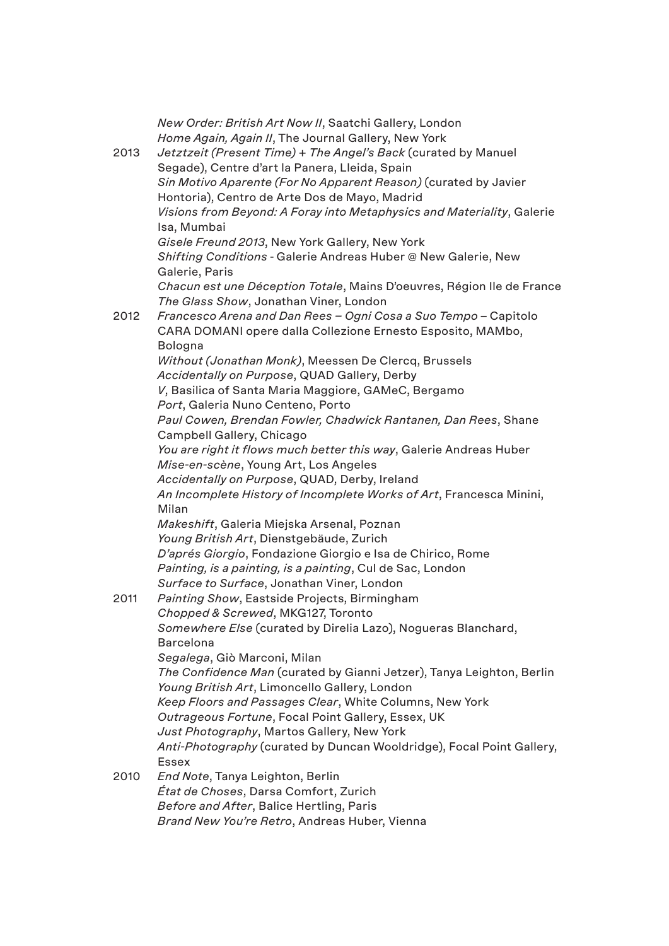|      | New Order: British Art Now II, Saatchi Gallery, London                                |
|------|---------------------------------------------------------------------------------------|
|      | Home Again, Again II, The Journal Gallery, New York                                   |
| 2013 | Jetztzeit (Present Time) + The Angel's Back (curated by Manuel                        |
|      | Segade), Centre d'art la Panera, Lleida, Spain                                        |
|      | Sin Motivo Aparente (For No Apparent Reason) (curated by Javier                       |
|      | Hontoria), Centro de Arte Dos de Mayo, Madrid                                         |
|      | Visions from Beyond: A Foray into Metaphysics and Materiality, Galerie<br>Isa, Mumbai |
|      | Gisele Freund 2013, New York Gallery, New York                                        |
|      | Shifting Conditions - Galerie Andreas Huber @ New Galerie, New                        |
|      | Galerie, Paris                                                                        |
|      | Chacun est une Déception Totale, Mains D'oeuvres, Région Ile de France                |
|      | The Glass Show, Jonathan Viner, London                                                |
| 2012 | Francesco Arena and Dan Rees - Ogni Cosa a Suo Tempo - Capitolo                       |
|      | CARA DOMANI opere dalla Collezione Ernesto Esposito, MAMbo,                           |
|      | Bologna                                                                               |
|      | Without (Jonathan Monk), Meessen De Clercq, Brussels                                  |
|      |                                                                                       |
|      | Accidentally on Purpose, QUAD Gallery, Derby                                          |
|      | V, Basilica of Santa Maria Maggiore, GAMeC, Bergamo                                   |
|      | Port, Galeria Nuno Centeno, Porto                                                     |
|      | Paul Cowen, Brendan Fowler, Chadwick Rantanen, Dan Rees, Shane                        |
|      | Campbell Gallery, Chicago                                                             |
|      | You are right it flows much better this way, Galerie Andreas Huber                    |
|      | Mise-en-scène, Young Art, Los Angeles                                                 |
|      | Accidentally on Purpose, QUAD, Derby, Ireland                                         |
|      | An Incomplete History of Incomplete Works of Art, Francesca Minini,                   |
|      | Milan                                                                                 |
|      | Makeshift, Galeria Miejska Arsenal, Poznan                                            |
|      | Young British Art, Dienstgebäude, Zurich                                              |
|      | D'aprés Giorgio, Fondazione Giorgio e Isa de Chirico, Rome                            |
|      | Painting, is a painting, is a painting, Cul de Sac, London                            |
|      | Surface to Surface, Jonathan Viner, London                                            |
| 2011 | Painting Show, Eastside Projects, Birmingham                                          |
|      | Chopped & Screwed, MKG127, Toronto                                                    |
|      | Somewhere Else (curated by Direlia Lazo), Nogueras Blanchard,                         |
|      | <b>Barcelona</b>                                                                      |
|      | Segalega, Giò Marconi, Milan                                                          |
|      | The Confidence Man (curated by Gianni Jetzer), Tanya Leighton, Berlin                 |
|      | Young British Art, Limoncello Gallery, London                                         |
|      | Keep Floors and Passages Clear, White Columns, New York                               |
|      | Outrageous Fortune, Focal Point Gallery, Essex, UK                                    |
|      | Just Photography, Martos Gallery, New York                                            |
|      | Anti-Photography (curated by Duncan Wooldridge), Focal Point Gallery,                 |
|      | <b>Essex</b>                                                                          |
| 2010 | End Note, Tanya Leighton, Berlin                                                      |
|      | <i>État de Choses, Darsa Comfort, Zurich</i>                                          |
|      | Before and After, Balice Hertling, Paris                                              |
|      | Brand New You're Retro, Andreas Huber, Vienna                                         |
|      |                                                                                       |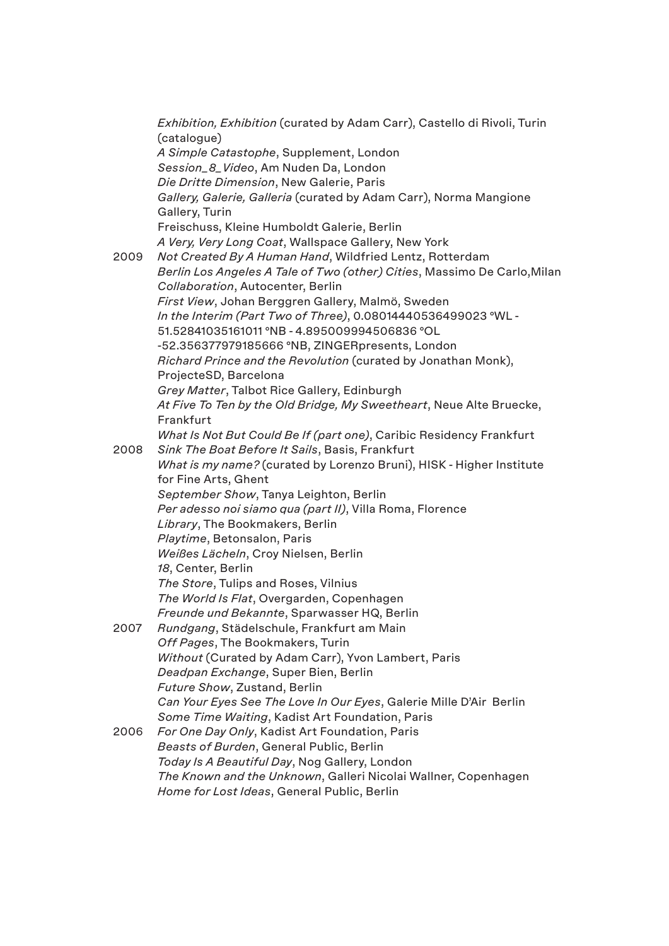*Exhibition, Exhibition* (curated by Adam Carr), Castello di Rivoli, Turin (catalogue) *A Simple Catastophe*, Supplement, London *Session\_8\_Video*, Am Nuden Da, London *Die Dritte Dimension*, New Galerie, Paris *Gallery, Galerie, Galleria* (curated by Adam Carr), Norma Mangione Gallery, Turin Freischuss, Kleine Humboldt Galerie, Berlin *A Very, Very Long Coat*, Wallspace Gallery, New York 2009 *Not Created By A Human Hand*, Wildfried Lentz, Rotterdam *Berlin Los Angeles A Tale of Two (other) Cities*, Massimo De Carlo,Milan *Collaboration*, Autocenter, Berlin *First View*, Johan Berggren Gallery, Malmö, Sweden *In the Interim (Part Two of Three)*, 0.08014440536499023 °WL - 51.52841035161011 °NB - 4.895009994506836 °OL -52.356377979185666 °NB, ZINGERpresents, London *Richard Prince and the Revolution* (curated by Jonathan Monk), ProjecteSD, Barcelona *Grey Matter*, Talbot Rice Gallery, Edinburgh *At Five To Ten by the Old Bridge, My Sweetheart*, Neue Alte Bruecke, Frankfurt *What Is Not But Could Be If (part one)*, Caribic Residency Frankfurt 2008 *Sink The Boat Before It Sails*, Basis, Frankfurt *What is my name?* (curated by Lorenzo Bruni), HISK - Higher Institute for Fine Arts, Ghent *September Show*, Tanya Leighton, Berlin *Per adesso noi siamo qua (part II)*, Villa Roma, Florence *Library*, The Bookmakers, Berlin *Playtime*, Betonsalon, Paris *Weißes Lächeln*, Croy Nielsen, Berlin *18*, Center, Berlin *The Store*, Tulips and Roses, Vilnius *The World Is Flat*, Overgarden, Copenhagen *Freunde und Bekannte*, Sparwasser HQ, Berlin 2007 *Rundgang*, Städelschule, Frankfurt am Main *Off Pages*, The Bookmakers, Turin *Without* (Curated by Adam Carr), Yvon Lambert, Paris *Deadpan Exchange*, Super Bien, Berlin *Future Show*, Zustand, Berlin *Can Your Eyes See The Love In Our Eyes*, Galerie Mille D'Air Berlin *Some Time Waiting*, Kadist Art Foundation, Paris 2006 *For One Day Only*, Kadist Art Foundation, Paris *Beasts of Burden*, General Public, Berlin *Today Is A Beautiful Day*, Nog Gallery, London *The Known and the Unknown*, Galleri Nicolai Wallner, Copenhagen *Home for Lost Ideas*, General Public, Berlin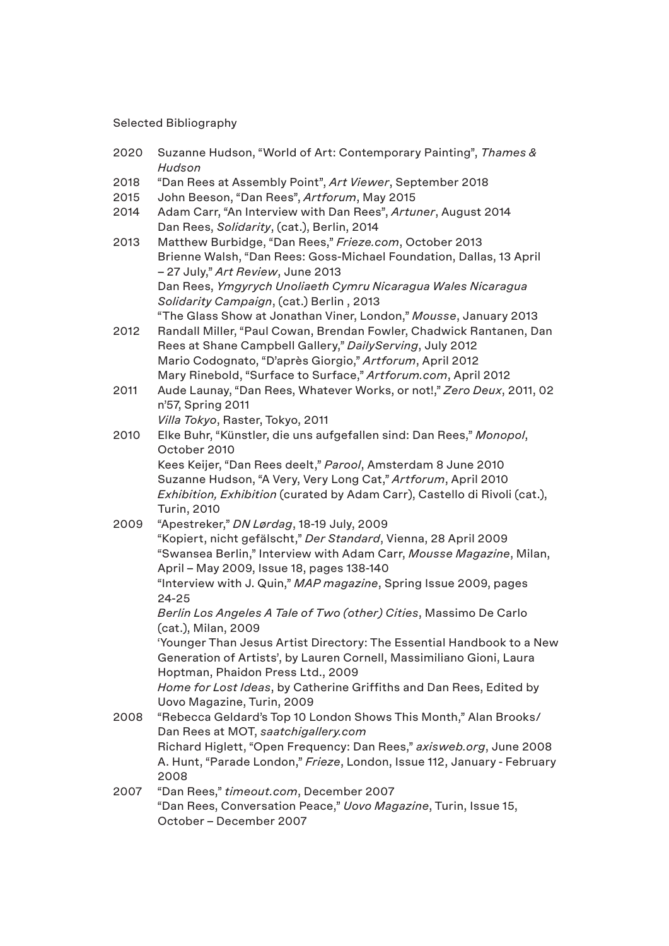Selected Bibliography

| 2020         | Suzanne Hudson, "World of Art: Contemporary Painting", Thames &<br>Hudson                                                                     |
|--------------|-----------------------------------------------------------------------------------------------------------------------------------------------|
| 2018<br>2015 | "Dan Rees at Assembly Point", Art Viewer, September 2018<br>John Beeson, "Dan Rees", Artforum, May 2015                                       |
| 2014         | Adam Carr, "An Interview with Dan Rees", Artuner, August 2014                                                                                 |
| 2013         | Dan Rees, Solidarity, (cat.), Berlin, 2014<br>Matthew Burbidge, "Dan Rees," Frieze.com, October 2013                                          |
|              | Brienne Walsh, "Dan Rees: Goss-Michael Foundation, Dallas, 13 April<br>- 27 July," Art Review, June 2013                                      |
|              | Dan Rees, Ymgyrych Unoliaeth Cymru Nicaragua Wales Nicaragua<br>Solidarity Campaign, (cat.) Berlin, 2013                                      |
|              | "The Glass Show at Jonathan Viner, London," Mousse, January 2013                                                                              |
| 2012         | Randall Miller, "Paul Cowan, Brendan Fowler, Chadwick Rantanen, Dan<br>Rees at Shane Campbell Gallery," DailyServing, July 2012               |
|              | Mario Codognato, "D'après Giorgio," Artforum, April 2012                                                                                      |
|              | Mary Rinebold, "Surface to Surface," Artforum.com, April 2012                                                                                 |
| 2011         | Aude Launay, "Dan Rees, Whatever Works, or not!," Zero Deux, 2011, 02<br>n'57, Spring 2011                                                    |
| 2010         | Villa Tokyo, Raster, Tokyo, 2011<br>Elke Buhr, "Künstler, die uns aufgefallen sind: Dan Rees," Monopol,                                       |
|              | October 2010                                                                                                                                  |
|              | Kees Keijer, "Dan Rees deelt," Parool, Amsterdam 8 June 2010                                                                                  |
|              | Suzanne Hudson, "A Very, Very Long Cat," Artforum, April 2010                                                                                 |
|              | Exhibition, Exhibition (curated by Adam Carr), Castello di Rivoli (cat.),<br><b>Turin, 2010</b>                                               |
| 2009         | "Apestreker," DN Lørdag, 18-19 July, 2009                                                                                                     |
|              | "Kopiert, nicht gefälscht," Der Standard, Vienna, 28 April 2009                                                                               |
|              | "Swansea Berlin," Interview with Adam Carr, Mousse Magazine, Milan,                                                                           |
|              | April - May 2009, Issue 18, pages 138-140<br>"Interview with J. Quin," MAP magazine, Spring Issue 2009, pages                                 |
|              | 24-25                                                                                                                                         |
|              | Berlin Los Angeles A Tale of Two (other) Cities, Massimo De Carlo<br>(cat.), Milan, 2009                                                      |
|              | 'Younger Than Jesus Artist Directory: The Essential Handbook to a New<br>Generation of Artists', by Lauren Cornell, Massimiliano Gioni, Laura |
|              | Hoptman, Phaidon Press Ltd., 2009<br>Home for Lost Ideas, by Catherine Griffiths and Dan Rees, Edited by                                      |
|              | Uovo Magazine, Turin, 2009                                                                                                                    |
| 2008         | "Rebecca Geldard's Top 10 London Shows This Month," Alan Brooks/<br>Dan Rees at MOT, saatchigallery.com                                       |
|              | Richard Higlett, "Open Frequency: Dan Rees," axisweb.org, June 2008                                                                           |
|              | A. Hunt, "Parade London," Frieze, London, Issue 112, January - February<br>2008                                                               |
| 2007         | "Dan Rees," timeout.com, December 2007                                                                                                        |
|              | "Dan Rees, Conversation Peace," Uovo Magazine, Turin, Issue 15,<br>October - December 2007                                                    |